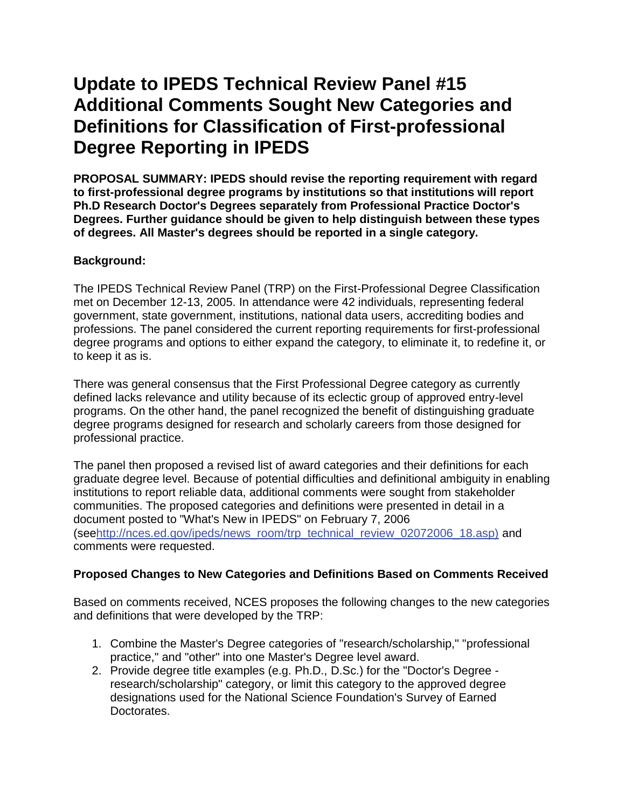# **Update to IPEDS Technical Review Panel #15 Additional Comments Sought New Categories and Definitions for Classification of First-professional Degree Reporting in IPEDS**

**PROPOSAL SUMMARY: IPEDS should revise the reporting requirement with regard to first-professional degree programs by institutions so that institutions will report Ph.D Research Doctor's Degrees separately from Professional Practice Doctor's Degrees. Further guidance should be given to help distinguish between these types of degrees. All Master's degrees should be reported in a single category.**

# **Background:**

The IPEDS Technical Review Panel (TRP) on the First-Professional Degree Classification met on December 12-13, 2005. In attendance were 42 individuals, representing federal government, state government, institutions, national data users, accrediting bodies and professions. The panel considered the current reporting requirements for first-professional degree programs and options to either expand the category, to eliminate it, to redefine it, or to keep it as is.

There was general consensus that the First Professional Degree category as currently defined lacks relevance and utility because of its eclectic group of approved entry-level programs. On the other hand, the panel recognized the benefit of distinguishing graduate degree programs designed for research and scholarly careers from those designed for professional practice.

The panel then proposed a revised list of award categories and their definitions for each graduate degree level. Because of potential difficulties and definitional ambiguity in enabling institutions to report reliable data, additional comments were sought from stakeholder communities. The proposed categories and definitions were presented in detail in a document posted to "What's New in IPEDS" on February 7, 2006 (se[ehttp://nces.ed.gov/ipeds/news\\_room/trp\\_technical\\_review\\_02072006\\_18.asp\)](https://edsurveys.rti.org/IPEDS_TRP/trp_technical_review_02072006_18.asp) and comments were requested.

# **Proposed Changes to New Categories and Definitions Based on Comments Received**

Based on comments received, NCES proposes the following changes to the new categories and definitions that were developed by the TRP:

- 1. Combine the Master's Degree categories of "research/scholarship," "professional practice," and "other" into one Master's Degree level award.
- 2. Provide degree title examples (e.g. Ph.D., D.Sc.) for the "Doctor's Degree research/scholarship" category, or limit this category to the approved degree designations used for the National Science Foundation's Survey of Earned Doctorates.